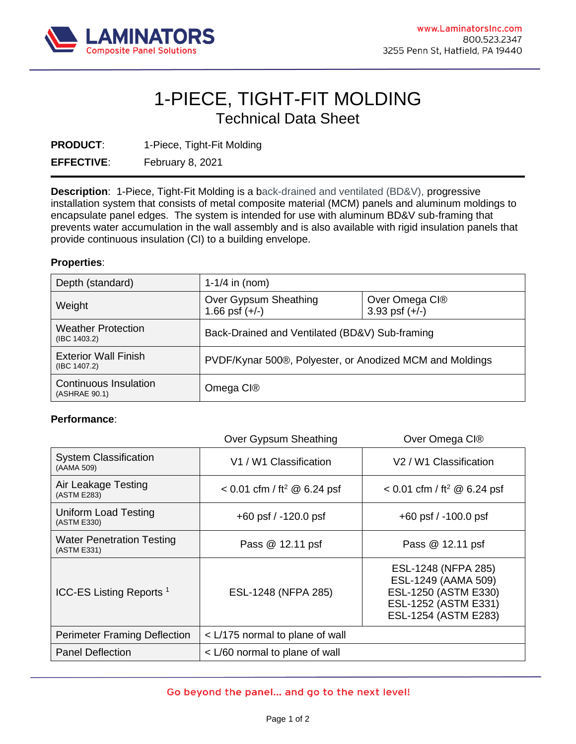

## 1-PIECE, TIGHT-FIT MOLDING Technical Data Sheet

**PRODUCT:** 1-Piece, Tight-Fit Molding

**EFFECTIVE**: February 8, 2021

**Description**: 1-Piece, Tight-Fit Molding is a back-drained and ventilated (BD&V), progressive installation system that consists of metal composite material (MCM) panels and aluminum moldings to encapsulate panel edges. The system is intended for use with aluminum BD&V sub-framing that prevents water accumulation in the wall assembly and is also available with rigid insulation panels that provide continuous insulation (CI) to a building envelope.

## **Properties**:

| Depth (standard)                                | $1-1/4$ in (nom)                                         |                                    |
|-------------------------------------------------|----------------------------------------------------------|------------------------------------|
| Weight                                          | Over Gypsum Sheathing<br>1.66 psf $(+/-)$                | Over Omega CI®<br>3.93 psf $(+/-)$ |
| <b>Weather Protection</b><br>$($ IBC 1403.2 $)$ | Back-Drained and Ventilated (BD&V) Sub-framing           |                                    |
| <b>Exterior Wall Finish</b><br>(IBC 1407.2)     | PVDF/Kynar 500®, Polyester, or Anodized MCM and Moldings |                                    |
| <b>Continuous Insulation</b><br>(ASHRAE 90.1)   | Omega Cl®                                                |                                    |

## **Performance**:

|                                                 | Over Gypsum Sheathing                     | Over Omega CI®                                                                                                     |
|-------------------------------------------------|-------------------------------------------|--------------------------------------------------------------------------------------------------------------------|
| <b>System Classification</b><br>(AAMA 509)      | V1 / W1 Classification                    | V <sub>2</sub> / W <sub>1</sub> Classification                                                                     |
| Air Leakage Testing<br>(ASTM E283)              | $< 0.01$ cfm / ft <sup>2</sup> @ 6.24 psf | $< 0.01$ cfm / ft <sup>2</sup> @ 6.24 psf                                                                          |
| Uniform Load Testing<br>(ASTM E330)             | $+60$ psf $/ -120.0$ psf                  | $+60$ psf $/ -100.0$ psf                                                                                           |
| <b>Water Penetration Testing</b><br>(ASTM E331) | Pass @ 12.11 psf                          | Pass @ 12.11 psf                                                                                                   |
| ICC-ES Listing Reports <sup>1</sup>             | ESL-1248 (NFPA 285)                       | ESL-1248 (NFPA 285)<br>ESL-1249 (AAMA 509)<br>ESL-1250 (ASTM E330)<br>ESL-1252 (ASTM E331)<br>ESL-1254 (ASTM E283) |
| <b>Perimeter Framing Deflection</b>             | < L/175 normal to plane of wall           |                                                                                                                    |
| <b>Panel Deflection</b>                         | < L/60 normal to plane of wall            |                                                                                                                    |

## Go beyond the panel... and go to the next level!